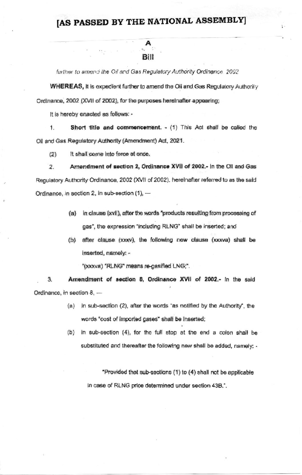## [AS PASSED BY THE NATIONAL ASSEMBLY]

|  |  | ÷ | A |      |
|--|--|---|---|------|
|  |  |   |   |      |
|  |  |   |   | Bill |

further to amend the Oil and Gas Regulatory Authority Ordinance. 2002.

WHEREAS, it is expedient further to amend the Oil and Gas Regulatory Authority Ordinance, 2002 (XVII of 2002), for the purposes hereinafter appearing;

It is hereby enacted as follows: -

1. Short title and commencement.  $-$  (1) This Act shall be called the Oil and Gas Regulatory Authority (Amendment) Act. 2021.

It shall come into force at once.  $(2)$ 

Amendment of section 2, Ordinance XVII of 2002.- In the Oil and Gas  $2.$ Requisiory Authority Ordinance, 2002 (XVII of 2002), hereinafter referred to as the said Ordinance, in section 2, in sub-section (1), -

- (a) in clause (xvii), after the words "products resulting from processing of gas", the expression "including RLNG" shall be inserted; and
- (b) after clause (xxxv), the following new clause (xxxva) shall be inserted, namely: -

"(xxxva) "RLNG" means re-gasified LNG;".

3. Amendment of section 8, Ordinance XVII of 2002.- In the said Ordinance, in section 8, -

- (a) in sub-section (2), after the words "as notified by the Authority", the words "cost of imported gases" shall be inserted;
- (b) in sub-section (4), for the full stop at the end a colon shall be substituted and thereafter the following new shall be added, namely; -

"Provided that sub-sections (1) to (4) shall not be applicable in case of RLNG price determined under section 43B.".